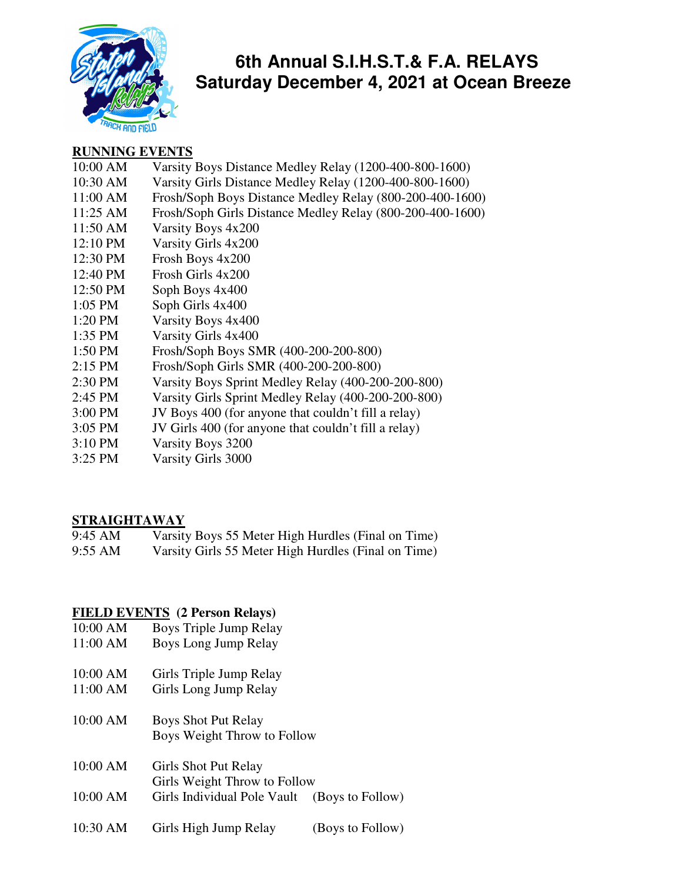

## **6th Annual S.I.H.S.T.& F.A. RELAYS Saturday December 4, 2021 at Ocean Breeze**

#### **RUNNING EVENTS**

- 10:00 AM Varsity Boys Distance Medley Relay (1200-400-800-1600)
- 10:30 AM Varsity Girls Distance Medley Relay (1200-400-800-1600)
- 11:00 AM Frosh/Soph Boys Distance Medley Relay (800-200-400-1600)
- 11:25 AM Frosh/Soph Girls Distance Medley Relay (800-200-400-1600)
- 11:50 AM Varsity Boys 4x200
- 12:10 PM Varsity Girls 4x200
- 12:30 PM Frosh Boys 4x200
- 12:40 PM Frosh Girls 4x200
- 12:50 PM Soph Boys 4x400
- 1:05 PM Soph Girls 4x400
- 1:20 PM Varsity Boys 4x400
- 1:35 PM Varsity Girls 4x400
- 1:50 PM Frosh/Soph Boys SMR (400-200-200-800)
- 2:15 PM Frosh/Soph Girls SMR (400-200-200-800)
- 2:30 PM Varsity Boys Sprint Medley Relay (400-200-200-800)
- 2:45 PM Varsity Girls Sprint Medley Relay (400-200-200-800)
- 3:00 PM JV Boys 400 (for anyone that couldn't fill a relay)
- 3:05 PM JV Girls 400 (for anyone that couldn't fill a relay)
- 3:10 PM Varsity Boys 3200
- 3:25 PM Varsity Girls 3000

### **STRAIGHTAWAY**

9:45 AM Varsity Boys 55 Meter High Hurdles (Final on Time) 9:55 AM Varsity Girls 55 Meter High Hurdles (Final on Time)

#### **FIELD EVENTS (2 Person Relays)**

- 10:00 AM Boys Triple Jump Relay
- 11:00 AM Boys Long Jump Relay
- 10:00 AM Girls Triple Jump Relay
- 11:00 AM Girls Long Jump Relay
- 10:00 AM Boys Shot Put Relay Boys Weight Throw to Follow
- 10:00 AM Girls Shot Put Relay Girls Weight Throw to Follow 10:00 AM Girls Individual Pole Vault (Boys to Follow)
- 
- 10:30 AM Girls High Jump Relay (Boys to Follow)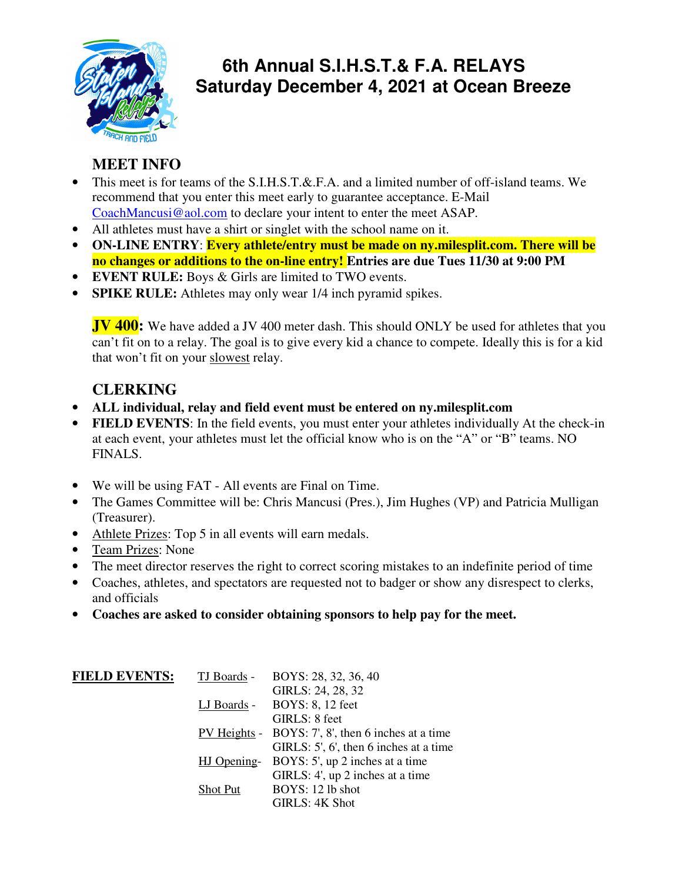

# **6th Annual S.I.H.S.T.& F.A. RELAYS Saturday December 4, 2021 at Ocean Breeze**

## **MEET INFO**

- This meet is for teams of the S.I.H.S.T.&.F.A. and a limited number of off-island teams. We recommend that you enter this meet early to guarantee acceptance. E-Mail CoachMancusi@aol.com to declare your intent to enter the meet ASAP.
- All athletes must have a shirt or singlet with the school name on it.
- **ON-LINE ENTRY**: **Every athlete/entry must be made on ny.milesplit.com. There will be no changes or additions to the on-line entry! Entries are due Tues 11/30 at 9:00 PM**
- **EVENT RULE:** Boys & Girls are limited to TWO events.
- **SPIKE RULE:** Athletes may only wear 1/4 inch pyramid spikes.

**JV 400:** We have added a JV 400 meter dash. This should ONLY be used for athletes that you can't fit on to a relay. The goal is to give every kid a chance to compete. Ideally this is for a kid that won't fit on your slowest relay.

## **CLERKING**

- **ALL individual, relay and field event must be entered on ny.milesplit.com**
- **FIELD EVENTS:** In the field events, you must enter your athletes individually At the check-in at each event, your athletes must let the official know who is on the "A" or "B" teams. NO FINALS.
- We will be using FAT All events are Final on Time.
- The Games Committee will be: Chris Mancusi (Pres.), Jim Hughes (VP) and Patricia Mulligan (Treasurer).
- Athlete Prizes: Top 5 in all events will earn medals.
- Team Prizes: None
- The meet director reserves the right to correct scoring mistakes to an indefinite period of time
- Coaches, athletes, and spectators are requested not to badger or show any disrespect to clerks, and officials
- **Coaches are asked to consider obtaining sponsors to help pay for the meet.**

| <b>FIELD EVENTS:</b> | TJ Boards - | BOYS: 28, 32, 36, 40                               |
|----------------------|-------------|----------------------------------------------------|
|                      |             | GIRLS: 24, 28, 32                                  |
|                      | LJ Boards - | <b>BOYS: 8, 12 feet</b>                            |
|                      |             | GIRLS: 8 feet                                      |
|                      |             | PV Heights - BOYS: 7', 8', then 6 inches at a time |
|                      |             | GIRLS: 5', 6', then 6 inches at a time             |
|                      | HJ Opening- | BOYS: 5', up 2 inches at a time                    |
|                      |             | GIRLS: 4', up 2 inches at a time                   |
|                      | Shot Put    | BOYS: 12 lb shot                                   |
|                      |             | GIRLS: 4K Shot                                     |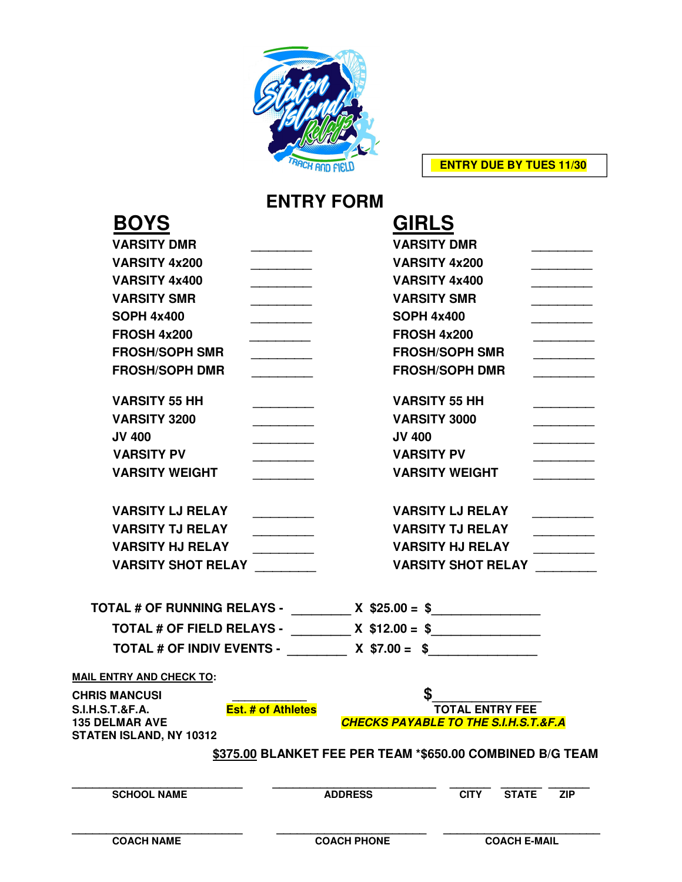

 **ENTRY DUE BY TUES 11/30** 

# **ENTRY FORM**

| <b>BOYS</b>                                                                    | <b>GIRLS</b>                                                               |                                                                           |                         |                      |                                                 |  |  |
|--------------------------------------------------------------------------------|----------------------------------------------------------------------------|---------------------------------------------------------------------------|-------------------------|----------------------|-------------------------------------------------|--|--|
| <b>VARSITY DMR</b>                                                             | <b>VARSITY DMR</b>                                                         |                                                                           |                         |                      |                                                 |  |  |
| <b>VARSITY 4x200</b>                                                           | $\overline{\phantom{a}}$<br>$\overline{\phantom{a}}$                       |                                                                           |                         | <b>VARSITY 4x200</b> |                                                 |  |  |
| <b>VARSITY 4x400</b>                                                           |                                                                            | <b>VARSITY 4x400</b>                                                      |                         |                      |                                                 |  |  |
| <b>VARSITY SMR</b>                                                             | $\overline{\phantom{a}}$                                                   | <b>VARSITY SMR</b>                                                        |                         |                      |                                                 |  |  |
| <b>SOPH 4x400</b>                                                              | $\overline{\phantom{a}}$                                                   | <b>SOPH 4x400</b>                                                         |                         |                      |                                                 |  |  |
| <b>FROSH 4x200</b>                                                             |                                                                            | <b>FROSH 4x200</b>                                                        |                         |                      |                                                 |  |  |
| <b>FROSH/SOPH SMR</b>                                                          |                                                                            |                                                                           | <b>FROSH/SOPH SMR</b>   |                      |                                                 |  |  |
| <b>FROSH/SOPH DMR</b>                                                          | <b>FROSH/SOPH DMR</b>                                                      |                                                                           |                         |                      |                                                 |  |  |
| <b>VARSITY 55 HH</b>                                                           |                                                                            | <b>VARSITY 55 HH</b>                                                      |                         |                      |                                                 |  |  |
| <b>VARSITY 3200</b>                                                            |                                                                            |                                                                           | <b>VARSITY 3000</b>     |                      |                                                 |  |  |
| <b>JV 400</b>                                                                  |                                                                            | <b>JV 400</b>                                                             |                         |                      |                                                 |  |  |
| <b>VARSITY PV</b>                                                              |                                                                            | <b>VARSITY PV</b>                                                         |                         |                      |                                                 |  |  |
| <b>VARSITY WEIGHT</b>                                                          |                                                                            |                                                                           | <b>VARSITY WEIGHT</b>   |                      |                                                 |  |  |
| <b>VARSITY LJ RELAY</b>                                                        |                                                                            |                                                                           | <b>VARSITY LJ RELAY</b> |                      |                                                 |  |  |
| <b>VARSITY TJ RELAY</b>                                                        |                                                                            |                                                                           | <b>VARSITY TJ RELAY</b> |                      | $\overline{a}$ . The contract of $\overline{a}$ |  |  |
| <b>VARSITY HJ RELAY</b>                                                        | <b>VARSITY HJ RELAY</b><br><u> 1989 - Johann Stoffen, fransk politiker</u> |                                                                           |                         |                      |                                                 |  |  |
| <b>VARSITY SHOT RELAY</b>                                                      |                                                                            | <b>VARSITY SHOT RELAY</b>                                                 |                         |                      |                                                 |  |  |
| TOTAL # OF RUNNING RELAYS - _________ X \$25.00 = \$________________           |                                                                            |                                                                           |                         |                      |                                                 |  |  |
|                                                                                | TOTAL # OF FIELD RELAYS - __________ X \$12.00 = \$________________        |                                                                           |                         |                      |                                                 |  |  |
| TOTAL # OF INDIV EVENTS - __________ X \$7.00 = \$______________               |                                                                            |                                                                           |                         |                      |                                                 |  |  |
| <b>MAIL ENTRY AND CHECK TO:</b>                                                |                                                                            |                                                                           |                         |                      |                                                 |  |  |
| <b>CHRIS MANCUSI</b>                                                           |                                                                            |                                                                           |                         |                      |                                                 |  |  |
| <b>S.I.H.S.T.&amp;F.A.</b><br><b>135 DELMAR AVE</b><br>STATEN ISLAND, NY 10312 | <b>Est. # of Athletes</b>                                                  | <b>TOTAL ENTRY FEE</b><br><b>CHECKS PAYABLE TO THE S.I.H.S.T.&amp;F.A</b> |                         |                      |                                                 |  |  |
|                                                                                |                                                                            | \$375.00 BLANKET FEE PER TEAM *\$650.00 COMBINED B/G TEAM                 |                         |                      |                                                 |  |  |
| <b>SCHOOL NAME</b>                                                             |                                                                            | <b>ADDRESS</b>                                                            | <b>CITY</b>             | <b>STATE</b>         | <b>ZIP</b>                                      |  |  |
|                                                                                |                                                                            |                                                                           |                         |                      |                                                 |  |  |